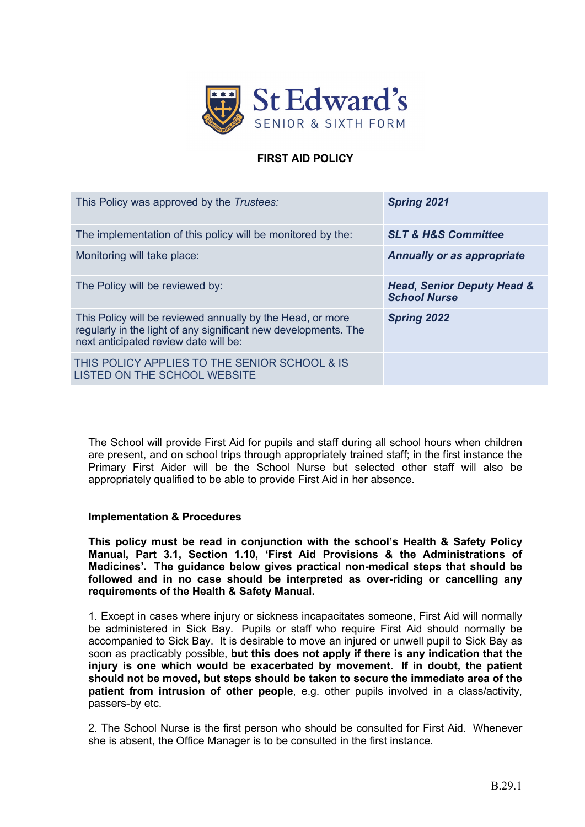

### **FIRST AID POLICY**

| This Policy was approved by the Trustees:                                                                                                                              | <b>Spring 2021</b>                                           |
|------------------------------------------------------------------------------------------------------------------------------------------------------------------------|--------------------------------------------------------------|
| The implementation of this policy will be monitored by the:                                                                                                            | <b>SLT &amp; H&amp;S Committee</b>                           |
| Monitoring will take place:                                                                                                                                            | <b>Annually or as appropriate</b>                            |
| The Policy will be reviewed by:                                                                                                                                        | <b>Head, Senior Deputy Head &amp;</b><br><b>School Nurse</b> |
| This Policy will be reviewed annually by the Head, or more<br>regularly in the light of any significant new developments. The<br>next anticipated review date will be: | <b>Spring 2022</b>                                           |
| THIS POLICY APPLIES TO THE SENIOR SCHOOL & IS<br>LISTED ON THE SCHOOL WEBSITE                                                                                          |                                                              |

The School will provide First Aid for pupils and staff during all school hours when children are present, and on school trips through appropriately trained staff; in the first instance the Primary First Aider will be the School Nurse but selected other staff will also be appropriately qualified to be able to provide First Aid in her absence.

#### **Implementation & Procedures**

**This policy must be read in conjunction with the school's Health & Safety Policy Manual, Part 3.1, Section 1.10, 'First Aid Provisions & the Administrations of Medicines'. The guidance below gives practical non-medical steps that should be followed and in no case should be interpreted as over-riding or cancelling any requirements of the Health & Safety Manual.**

1. Except in cases where injury or sickness incapacitates someone, First Aid will normally be administered in Sick Bay. Pupils or staff who require First Aid should normally be accompanied to Sick Bay. It is desirable to move an injured or unwell pupil to Sick Bay as soon as practicably possible, **but this does not apply if there is any indication that the injury is one which would be exacerbated by movement. If in doubt, the patient should not be moved, but steps should be taken to secure the immediate area of the patient from intrusion of other people**, e.g. other pupils involved in a class/activity, passers-by etc.

2. The School Nurse is the first person who should be consulted for First Aid. Whenever she is absent, the Office Manager is to be consulted in the first instance.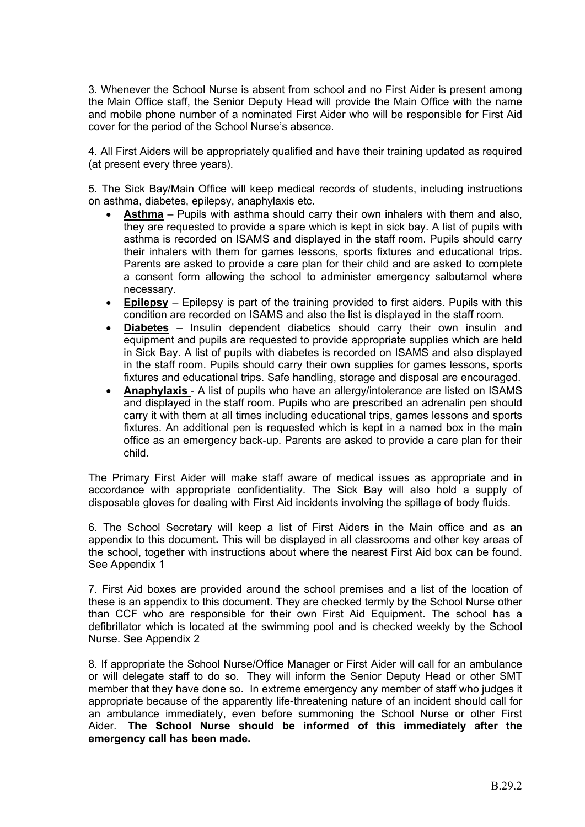3. Whenever the School Nurse is absent from school and no First Aider is present among the Main Office staff, the Senior Deputy Head will provide the Main Office with the name and mobile phone number of a nominated First Aider who will be responsible for First Aid cover for the period of the School Nurse's absence.

4. All First Aiders will be appropriately qualified and have their training updated as required (at present every three years).

5. The Sick Bay/Main Office will keep medical records of students, including instructions on asthma, diabetes, epilepsy, anaphylaxis etc.

- **Asthma** Pupils with asthma should carry their own inhalers with them and also, they are requested to provide a spare which is kept in sick bay. A list of pupils with asthma is recorded on ISAMS and displayed in the staff room. Pupils should carry their inhalers with them for games lessons, sports fixtures and educational trips. Parents are asked to provide a care plan for their child and are asked to complete a consent form allowing the school to administer emergency salbutamol where necessary.
- **Epilepsy** Epilepsy is part of the training provided to first aiders. Pupils with this condition are recorded on ISAMS and also the list is displayed in the staff room.
- **Diabetes** Insulin dependent diabetics should carry their own insulin and equipment and pupils are requested to provide appropriate supplies which are held in Sick Bay. A list of pupils with diabetes is recorded on ISAMS and also displayed in the staff room. Pupils should carry their own supplies for games lessons, sports fixtures and educational trips. Safe handling, storage and disposal are encouraged.
- **Anaphylaxis**  A list of pupils who have an allergy/intolerance are listed on ISAMS and displayed in the staff room. Pupils who are prescribed an adrenalin pen should carry it with them at all times including educational trips, games lessons and sports fixtures. An additional pen is requested which is kept in a named box in the main office as an emergency back-up. Parents are asked to provide a care plan for their child.

The Primary First Aider will make staff aware of medical issues as appropriate and in accordance with appropriate confidentiality. The Sick Bay will also hold a supply of disposable gloves for dealing with First Aid incidents involving the spillage of body fluids.

6. The School Secretary will keep a list of First Aiders in the Main office and as an appendix to this document**.** This will be displayed in all classrooms and other key areas of the school, together with instructions about where the nearest First Aid box can be found. See Appendix 1

7. First Aid boxes are provided around the school premises and a list of the location of these is an appendix to this document. They are checked termly by the School Nurse other than CCF who are responsible for their own First Aid Equipment. The school has a defibrillator which is located at the swimming pool and is checked weekly by the School Nurse. See Appendix 2

8. If appropriate the School Nurse/Office Manager or First Aider will call for an ambulance or will delegate staff to do so. They will inform the Senior Deputy Head or other SMT member that they have done so. In extreme emergency any member of staff who judges it appropriate because of the apparently life-threatening nature of an incident should call for an ambulance immediately, even before summoning the School Nurse or other First Aider. **The School Nurse should be informed of this immediately after the emergency call has been made.**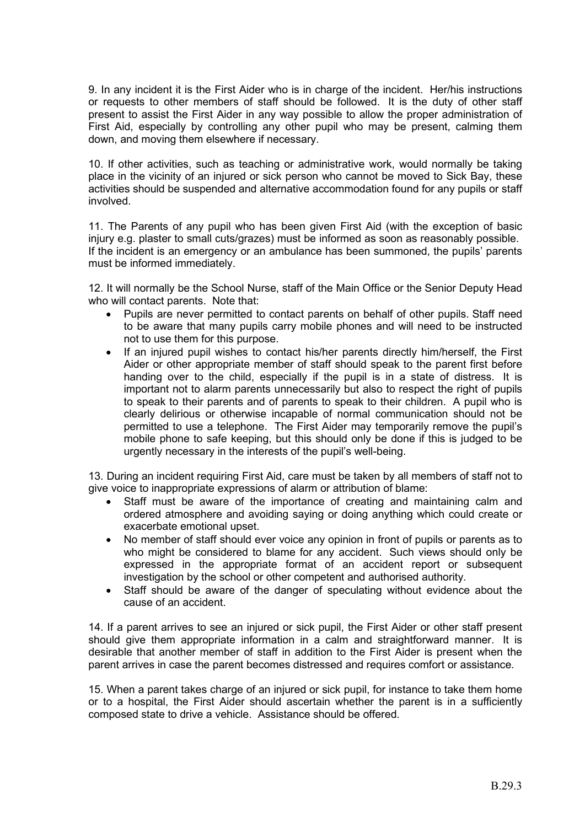9. In any incident it is the First Aider who is in charge of the incident. Her/his instructions or requests to other members of staff should be followed. It is the duty of other staff present to assist the First Aider in any way possible to allow the proper administration of First Aid, especially by controlling any other pupil who may be present, calming them down, and moving them elsewhere if necessary.

10. If other activities, such as teaching or administrative work, would normally be taking place in the vicinity of an injured or sick person who cannot be moved to Sick Bay, these activities should be suspended and alternative accommodation found for any pupils or staff involved.

11. The Parents of any pupil who has been given First Aid (with the exception of basic injury e.g. plaster to small cuts/grazes) must be informed as soon as reasonably possible. If the incident is an emergency or an ambulance has been summoned, the pupils' parents must be informed immediately.

12. It will normally be the School Nurse, staff of the Main Office or the Senior Deputy Head who will contact parents. Note that:

- Pupils are never permitted to contact parents on behalf of other pupils. Staff need to be aware that many pupils carry mobile phones and will need to be instructed not to use them for this purpose.
- If an injured pupil wishes to contact his/her parents directly him/herself, the First Aider or other appropriate member of staff should speak to the parent first before handing over to the child, especially if the pupil is in a state of distress. It is important not to alarm parents unnecessarily but also to respect the right of pupils to speak to their parents and of parents to speak to their children. A pupil who is clearly delirious or otherwise incapable of normal communication should not be permitted to use a telephone. The First Aider may temporarily remove the pupil's mobile phone to safe keeping, but this should only be done if this is judged to be urgently necessary in the interests of the pupil's well-being.

13. During an incident requiring First Aid, care must be taken by all members of staff not to give voice to inappropriate expressions of alarm or attribution of blame:

- Staff must be aware of the importance of creating and maintaining calm and ordered atmosphere and avoiding saying or doing anything which could create or exacerbate emotional upset.
- No member of staff should ever voice any opinion in front of pupils or parents as to who might be considered to blame for any accident. Such views should only be expressed in the appropriate format of an accident report or subsequent investigation by the school or other competent and authorised authority.
- Staff should be aware of the danger of speculating without evidence about the cause of an accident.

14. If a parent arrives to see an injured or sick pupil, the First Aider or other staff present should give them appropriate information in a calm and straightforward manner. It is desirable that another member of staff in addition to the First Aider is present when the parent arrives in case the parent becomes distressed and requires comfort or assistance.

15. When a parent takes charge of an injured or sick pupil, for instance to take them home or to a hospital, the First Aider should ascertain whether the parent is in a sufficiently composed state to drive a vehicle. Assistance should be offered.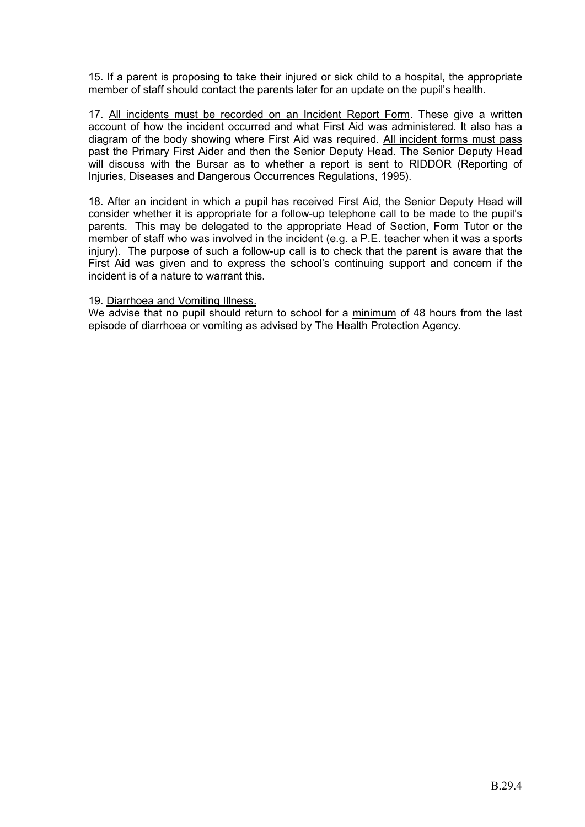15. If a parent is proposing to take their injured or sick child to a hospital, the appropriate member of staff should contact the parents later for an update on the pupil's health.

17. All incidents must be recorded on an Incident Report Form. These give a written account of how the incident occurred and what First Aid was administered. It also has a diagram of the body showing where First Aid was required. All incident forms must pass past the Primary First Aider and then the Senior Deputy Head. The Senior Deputy Head will discuss with the Bursar as to whether a report is sent to RIDDOR (Reporting of Injuries, Diseases and Dangerous Occurrences Regulations, 1995).

18. After an incident in which a pupil has received First Aid, the Senior Deputy Head will consider whether it is appropriate for a follow-up telephone call to be made to the pupil's parents. This may be delegated to the appropriate Head of Section, Form Tutor or the member of staff who was involved in the incident (e.g. a P.E. teacher when it was a sports injury). The purpose of such a follow-up call is to check that the parent is aware that the First Aid was given and to express the school's continuing support and concern if the incident is of a nature to warrant this.

#### 19. Diarrhoea and Vomiting Illness.

We advise that no pupil should return to school for a minimum of 48 hours from the last episode of diarrhoea or vomiting as advised by The Health Protection Agency.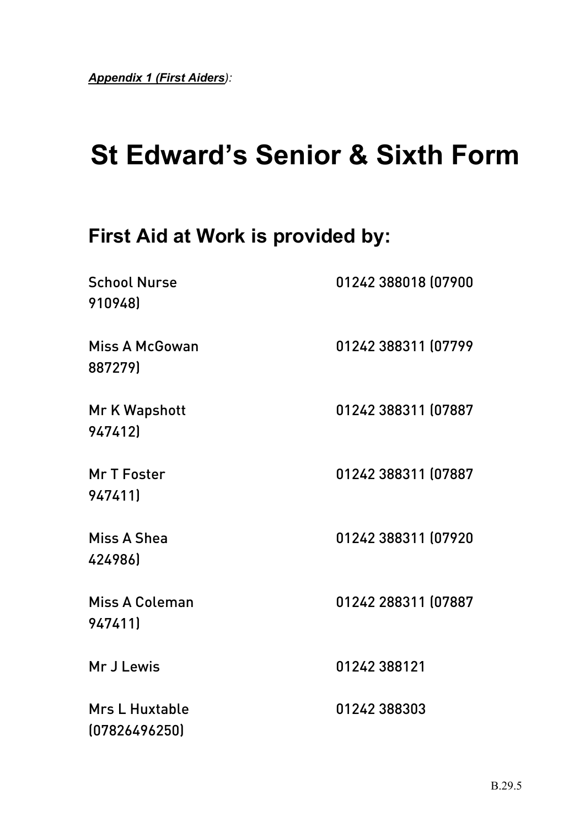# **St Edward's Senior & Sixth Form**

# **First Aid at Work is provided by:**

| <b>School Nurse</b><br>910948)         | 01242 388018 (07900 |
|----------------------------------------|---------------------|
| <b>Miss A McGowan</b><br>887279)       | 01242 388311 (07799 |
| Mr K Wapshott<br>947412)               | 01242 388311 (07887 |
| Mr T Foster<br>947411)                 | 01242 388311 (07887 |
| Miss A Shea<br>424986)                 | 01242 388311 (07920 |
| <b>Miss A Coleman</b><br>9474111       | 01242 288311 (07887 |
| Mr J Lewis                             | 01242 388121        |
| <b>Mrs L Huxtable</b><br>(07826496250) | 01242 388303        |